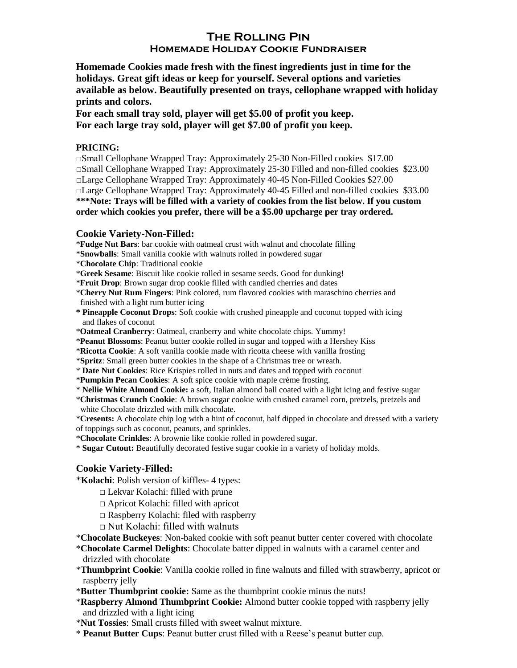# **The Rolling Pin Homemade Holiday Cookie Fundraiser**

**Homemade Cookies made fresh with the finest ingredients just in time for the holidays. Great gift ideas or keep for yourself. Several options and varieties available as below. Beautifully presented on trays, cellophane wrapped with holiday prints and colors.** 

**For each small tray sold, player will get \$5.00 of profit you keep. For each large tray sold, player will get \$7.00 of profit you keep.**

#### **PRICING:**

 $\Box$ Small Cellophane Wrapped Tray: Approximately 25-30 Non-Filled cookies \$17.00 □Small Cellophane Wrapped Tray: Approximately 25-30 Filled and non-filled cookies \$23.00  $\Box$ Large Cellophane Wrapped Tray: Approximately 40-45 Non-Filled Cookies \$27.00 □Large Cellophane Wrapped Tray: Approximately 40-45 Filled and non-filled cookies \$33.00 **\*\*\*Note: Trays will be filled with a variety of cookies from the list below. If you custom order which cookies you prefer, there will be a \$5.00 upcharge per tray ordered.**

#### **Cookie Variety-Non-Filled:**

\***Fudge Nut Bars**: bar cookie with oatmeal crust with walnut and chocolate filling

- \***Snowballs**: Small vanilla cookie with walnuts rolled in powdered sugar
- \***Chocolate Chip**: Traditional cookie
- \***Greek Sesame**: Biscuit like cookie rolled in sesame seeds. Good for dunking!
- \***Fruit Drop**: Brown sugar drop cookie filled with candied cherries and dates

\***Cherry Nut Rum Fingers**: Pink colored, rum flavored cookies with maraschino cherries and finished with a light rum butter icing

- **\* Pineapple Coconut Drops**: Soft cookie with crushed pineapple and coconut topped with icing and flakes of coconut
- \***Oatmeal Cranberry**: Oatmeal, cranberry and white chocolate chips. Yummy!
- \***Peanut Blossoms**: Peanut butter cookie rolled in sugar and topped with a Hershey Kiss

\***Ricotta Cookie**: A soft vanilla cookie made with ricotta cheese with vanilla frosting

\***Spritz**: Small green butter cookies in the shape of a Christmas tree or wreath.

\* **Date Nut Cookies**: Rice Krispies rolled in nuts and dates and topped with coconut

\***Pumpkin Pecan Cookies**: A soft spice cookie with maple crème frosting.

\* **Nellie White Almond Cookie:** a soft, Italian almond ball coated with a light icing and festive sugar

\***Christmas Crunch Cookie**: A brown sugar cookie with crushed caramel corn, pretzels, pretzels and white Chocolate drizzled with milk chocolate.

\***Cresents:** A chocolate chip log with a hint of coconut, half dipped in chocolate and dressed with a variety of toppings such as coconut, peanuts, and sprinkles.

\***Chocolate Crinkles**: A brownie like cookie rolled in powdered sugar.

\* **Sugar Cutout:** Beautifully decorated festive sugar cookie in a variety of holiday molds.

### **Cookie Variety-Filled:**

\***Kolachi**: Polish version of kiffles- 4 types:

- □ Lekvar Kolachi: filled with prune
- □ Apricot Kolachi: filled with apricot
- □ Raspberry Kolachi: filed with raspberry
- $\Box$  Nut Kolachi: filled with walnuts

\***Chocolate Buckeyes**: Non-baked cookie with soft peanut butter center covered with chocolate

- \***Chocolate Carmel Delights**: Chocolate batter dipped in walnuts with a caramel center and drizzled with chocolate
- \***Thumbprint Cookie**: Vanilla cookie rolled in fine walnuts and filled with strawberry, apricot or raspberry jelly
- \***Butter Thumbprint cookie:** Same as the thumbprint cookie minus the nuts!
- \***Raspberry Almond Thumbprint Cookie:** Almond butter cookie topped with raspberry jelly and drizzled with a light icing
- \***Nut Tossies**: Small crusts filled with sweet walnut mixture.
- \* **Peanut Butter Cups**: Peanut butter crust filled with a Reese's peanut butter cup.